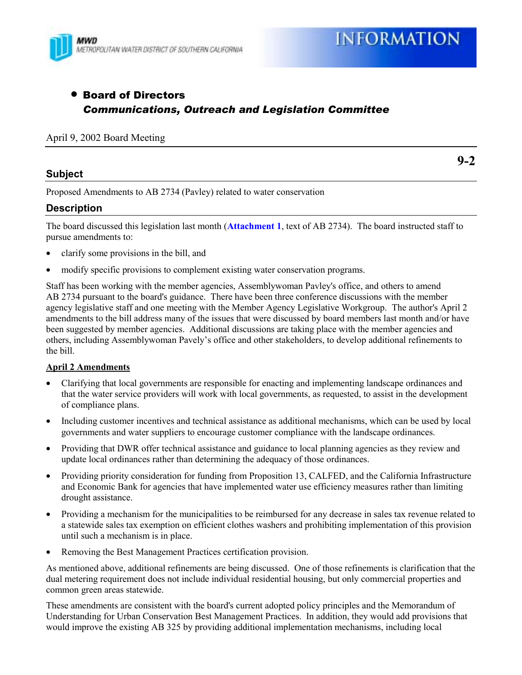

# • Board of Directors *Communications, Outreach and Legislation Committee*

## April 9, 2002 Board Meeting

## **Subject**

**9-2**

Proposed Amendments to AB 2734 (Pavley) related to water conservation

## **Description**

The board discussed this legislation last month (**[Attachment 1](#page-2-0)**, text of AB 2734). The board instructed staff to pursue amendments to:

- clarify some provisions in the bill, and
- modify specific provisions to complement existing water conservation programs.

Staff has been working with the member agencies, Assemblywoman Pavley's office, and others to amend AB 2734 pursuant to the board's guidance. There have been three conference discussions with the member agency legislative staff and one meeting with the Member Agency Legislative Workgroup. The author's April 2 amendments to the bill address many of the issues that were discussed by board members last month and/or have been suggested by member agencies. Additional discussions are taking place with the member agencies and others, including Assemblywoman Pavelyís office and other stakeholders, to develop additional refinements to the bill.

## **April 2 Amendments**

- Clarifying that local governments are responsible for enacting and implementing landscape ordinances and that the water service providers will work with local governments, as requested, to assist in the development of compliance plans.
- Including customer incentives and technical assistance as additional mechanisms, which can be used by local governments and water suppliers to encourage customer compliance with the landscape ordinances.
- Providing that DWR offer technical assistance and guidance to local planning agencies as they review and update local ordinances rather than determining the adequacy of those ordinances.
- Providing priority consideration for funding from Proposition 13, CALFED, and the California Infrastructure and Economic Bank for agencies that have implemented water use efficiency measures rather than limiting drought assistance.
- Providing a mechanism for the municipalities to be reimbursed for any decrease in sales tax revenue related to a statewide sales tax exemption on efficient clothes washers and prohibiting implementation of this provision until such a mechanism is in place.
- Removing the Best Management Practices certification provision.

As mentioned above, additional refinements are being discussed. One of those refinements is clarification that the dual metering requirement does not include individual residential housing, but only commercial properties and common green areas statewide.

These amendments are consistent with the board's current adopted policy principles and the Memorandum of Understanding for Urban Conservation Best Management Practices. In addition, they would add provisions that would improve the existing AB 325 by providing additional implementation mechanisms, including local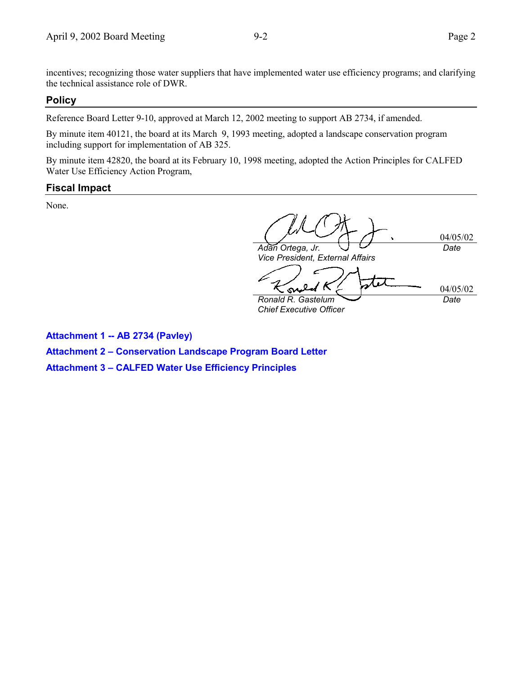incentives; recognizing those water suppliers that have implemented water use efficiency programs; and clarifying the technical assistance role of DWR.

## **Policy**

Reference Board Letter 9-10, approved at March 12, 2002 meeting to support AB 2734, if amended.

By minute item 40121, the board at its March 9, 1993 meeting, adopted a landscape conservation program including support for implementation of AB 325.

By minute item 42820, the board at its February 10, 1998 meeting, adopted the Action Principles for CALFED Water Use Efficiency Action Program,

## **Fiscal Impact**

None.

 04/05/02 *Adan Ortega, Jr. Date Vice President, External Affairs* 04/05/02 S. *Ronald R. Gastelum Date*

*Chief Executive Officer*

**[Attachment 1 -- AB 2734 \(Pavley\)](#page-2-0)**

**Attachment 2 - Conservation Landscape Program Board Letter** 

**Attachment 3 - CALFED Water Use Efficiency Principles**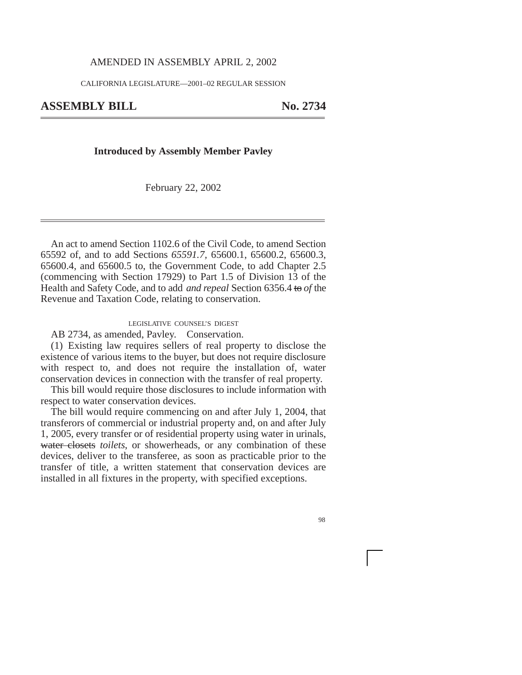#### <span id="page-2-0"></span>AMENDED IN ASSEMBLY APRIL 2, 2002

CALIFORNIA LEGISLATURE—2001–02 REGULAR SESSION

## ASSEMBLY BILL No. 2734

#### **Introduced by Assembly Member Pavley**

February 22, 2002

An act to amend Section 1102.6 of the Civil Code, to amend Section 65592 of, and to add Sections *65591.7,* 65600.1, 65600.2, 65600.3, 65600.4, and 65600.5 to, the Government Code, to add Chapter 2.5 (commencing with Section 17929) to Part 1.5 of Division 13 of the Health and Safety Code, and to add *and repeal* Section 6356.4 to *of* the Revenue and Taxation Code, relating to conservation.

#### LEGISLATIVE COUNSEL'S DIGEST

AB 2734, as amended, Pavley. Conservation.

(1) Existing law requires sellers of real property to disclose the existence of various items to the buyer, but does not require disclosure with respect to, and does not require the installation of, water conservation devices in connection with the transfer of real property.

This bill would require those disclosures to include information with respect to water conservation devices.

The bill would require commencing on and after July 1, 2004, that transferors of commercial or industrial property and, on and after July 1, 2005, every transfer or of residential property using water in urinals, water closets *toilets*, or showerheads, or any combination of these devices, deliver to the transferee, as soon as practicable prior to the transfer of title, a written statement that conservation devices are installed in all fixtures in the property, with specified exceptions.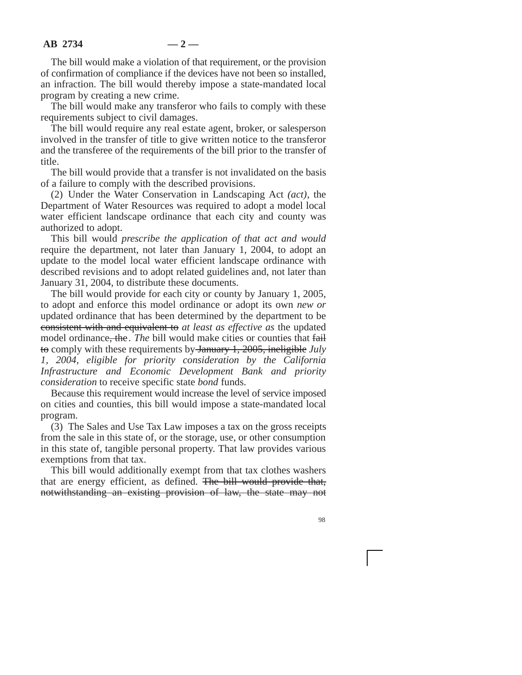The bill would make a violation of that requirement, or the provision of confirmation of compliance if the devices have not been so installed, an infraction. The bill would thereby impose a state-mandated local program by creating a new crime.

The bill would make any transferor who fails to comply with these requirements subject to civil damages.

The bill would require any real estate agent, broker, or salesperson involved in the transfer of title to give written notice to the transferor and the transferee of the requirements of the bill prior to the transfer of title.

The bill would provide that a transfer is not invalidated on the basis of a failure to comply with the described provisions.

(2) Under the Water Conservation in Landscaping Act *(act)*, the Department of Water Resources was required to adopt a model local water efficient landscape ordinance that each city and county was authorized to adopt.

This bill would *prescribe the application of that act and would* require the department, not later than January 1, 2004, to adopt an update to the model local water efficient landscape ordinance with described revisions and to adopt related guidelines and, not later than January 31, 2004, to distribute these documents.

The bill would provide for each city or county by January 1, 2005, to adopt and enforce this model ordinance or adopt its own *new or* updated ordinance that has been determined by the department to be consistent with and equivalent to *at least as effective as* the updated model ordinance, the *. The* bill would make cities or counties that fail to comply with these requirements by January 1, 2005, ineligible *July 1, 2004, eligible for priority consideration by the California Infrastructure and Economic Development Bank and priority consideration* to receive specific state *bond* funds.

Because this requirement would increase the level of service imposed on cities and counties, this bill would impose a state-mandated local program.

(3) The Sales and Use Tax Law imposes a tax on the gross receipts from the sale in this state of, or the storage, use, or other consumption in this state of, tangible personal property. That law provides various exemptions from that tax.

This bill would additionally exempt from that tax clothes washers that are energy efficient, as defined. The bill would provide that, notwithstanding an existing provision of law, the state may not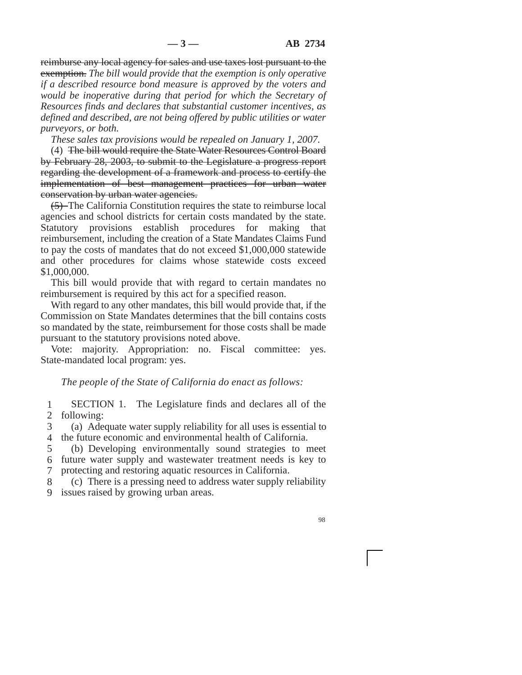reimburse any local agency for sales and use taxes lost pursuant to the exemption. *The bill would provide that the exemption is only operative if a described resource bond measure is approved by the voters and would be inoperative during that period for which the Secretary of Resources finds and declares that substantial customer incentives, as defined and described, are not being offered by public utilities or water purveyors, or both.*

*These sales tax provisions would be repealed on January 1, 2007.*

(4) The bill would require the State Water Resources Control Board by February 28, 2003, to submit to the Legislature a progress report regarding the development of a framework and process to certify the implementation of best management practices for urban water conservation by urban water agencies.

(5) The California Constitution requires the state to reimburse local agencies and school districts for certain costs mandated by the state. Statutory provisions establish procedures for making that reimbursement, including the creation of a State Mandates Claims Fund to pay the costs of mandates that do not exceed \$1,000,000 statewide and other procedures for claims whose statewide costs exceed \$1,000,000.

This bill would provide that with regard to certain mandates no reimbursement is required by this act for a specified reason.

With regard to any other mandates, this bill would provide that, if the Commission on State Mandates determines that the bill contains costs so mandated by the state, reimbursement for those costs shall be made pursuant to the statutory provisions noted above.

Vote: majority. Appropriation: no. Fiscal committee: yes. State-mandated local program: yes.

*The people of the State of California do enact as follows:*

1 2 SECTION 1. The Legislature finds and declares all of the following:

3 4 the future economic and environmental health of California. (a) Adequate water supply reliability for all uses is essential to

5 6 future water supply and wastewater treatment needs is key to 7 (b) Developing environmentally sound strategies to meet protecting and restoring aquatic resources in California.

8 9 (c) There is a pressing need to address water supply reliability issues raised by growing urban areas.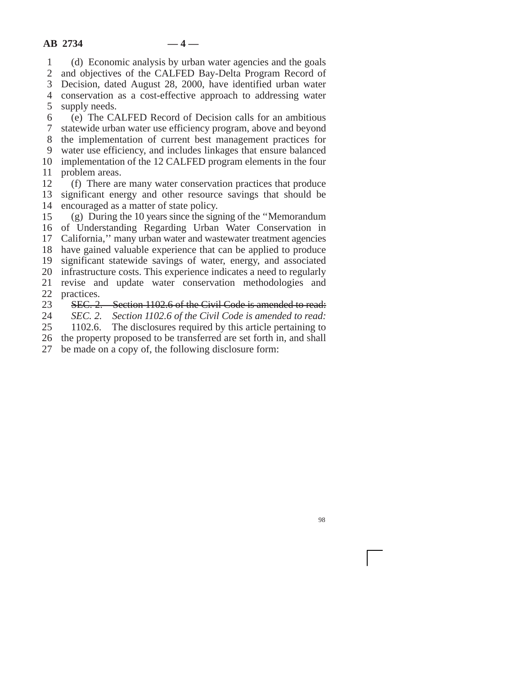1 2 3 4 5 6 7 8 (d) Economic analysis by urban water agencies and the goals and objectives of the CALFED Bay-Delta Program Record of Decision, dated August 28, 2000, have identified urban water conservation as a cost-effective approach to addressing water supply needs. (e) The CALFED Record of Decision calls for an ambitious statewide urban water use efficiency program, above and beyond the implementation of current best management practices for

9 10 water use efficiency, and includes linkages that ensure balanced implementation of the 12 CALFED program elements in the four

11 problem areas.

12 13 14 (f) There are many water conservation practices that produce significant energy and other resource savings that should be encouraged as a matter of state policy.

15 16 of Understanding Regarding Urban Water Conservation in 17 California,'' many urban water and wastewater treatment agencies 18 have gained valuable experience that can be applied to produce 19 20 infrastructure costs. This experience indicates a need to regularly 21 22 (g) During the 10 years since the signing of the ''Memorandum significant statewide savings of water, energy, and associated revise and update water conservation methodologies and practices.

23 SEC. 2. Section 1102.6 of the Civil Code is amended to read:

24 *SEC. 2. Section 1102.6 of the Civil Code is amended to read:*

25 1102.6. The disclosures required by this article pertaining to

26 the property proposed to be transferred are set forth in, and shall

27 be made on a copy of, the following disclosure form: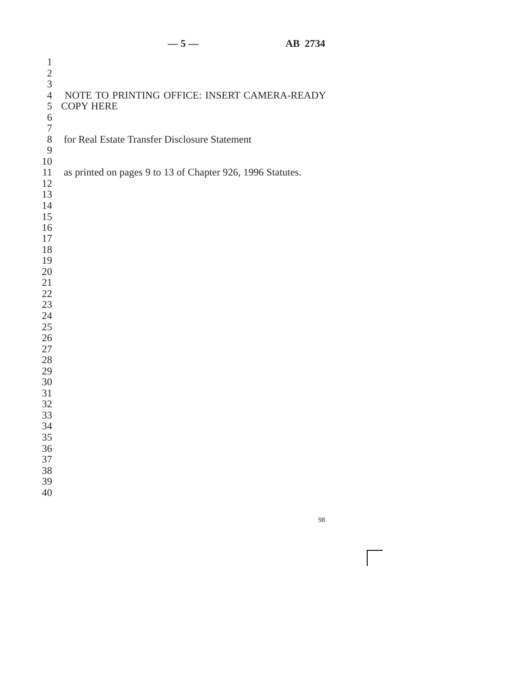| $\mathbf{1}$     |                                                            |
|------------------|------------------------------------------------------------|
| $\overline{c}$   |                                                            |
| $\overline{3}$   |                                                            |
| $\overline{4}$   | NOTE TO PRINTING OFFICE: INSERT CAMERA-READY               |
| 5                | <b>COPY HERE</b>                                           |
| 6                |                                                            |
| $\boldsymbol{7}$ |                                                            |
| $8\,$            | for Real Estate Transfer Disclosure Statement              |
|                  |                                                            |
| $\mathbf{9}$     |                                                            |
| 10               |                                                            |
| 11               | as printed on pages 9 to 13 of Chapter 926, 1996 Statutes. |
| 12               |                                                            |
| 13               |                                                            |
| 14               |                                                            |
| 15               |                                                            |
| 16               |                                                            |
| 17               |                                                            |
| 18               |                                                            |
| 19               |                                                            |
| 20               |                                                            |
| 21               |                                                            |
| 22               |                                                            |
| 23               |                                                            |
| 24               |                                                            |
| 25               |                                                            |
| 26               |                                                            |
| 27               |                                                            |
| 28               |                                                            |
|                  |                                                            |
| 29               |                                                            |
| 30               |                                                            |
| 31               |                                                            |
| 32               |                                                            |
| 33               |                                                            |
| 34               |                                                            |
| 35               |                                                            |
| 36               |                                                            |
| 37               |                                                            |
| 38               |                                                            |
| 39               |                                                            |
| 40               |                                                            |

 $\overline{\phantom{0}}$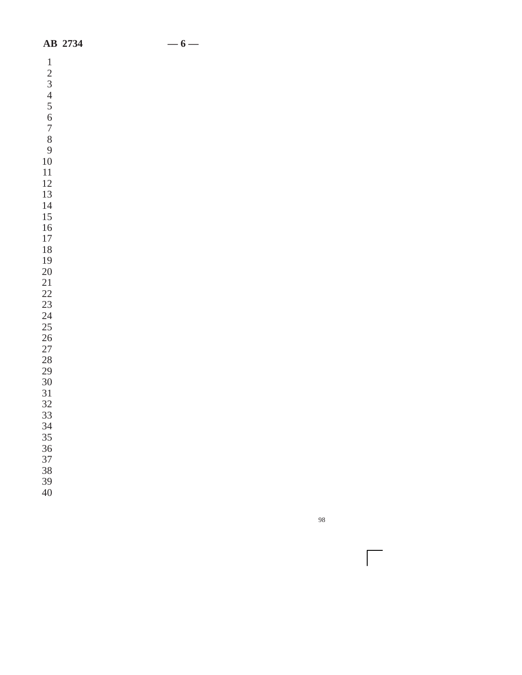| AB 2734  | 6 |
|----------|---|
|          |   |
| 1234567  |   |
|          |   |
|          |   |
|          |   |
| 8        |   |
| 9        |   |
| 10       |   |
| 11       |   |
| 12<br>13 |   |
| 14       |   |
| 15       |   |
| 16<br>17 |   |
| 18       |   |
| 19       |   |
| 20<br>21 |   |
| 22       |   |
| 23       |   |
| 24<br>25 |   |
| 26       |   |
| 27       |   |
| 28<br>29 |   |
| 30       |   |
| 31       |   |
| 32<br>33 |   |
| 34       |   |
| 35       |   |
| 36       |   |
| 37<br>38 |   |
| 39       |   |

Ξ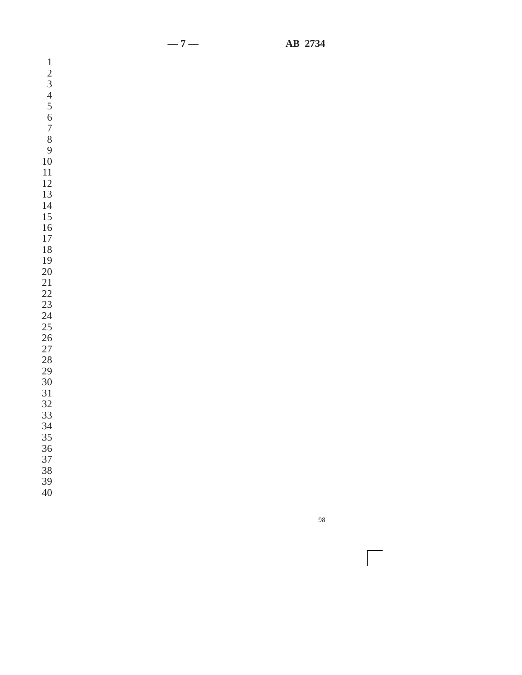$\overline{\phantom{0}}$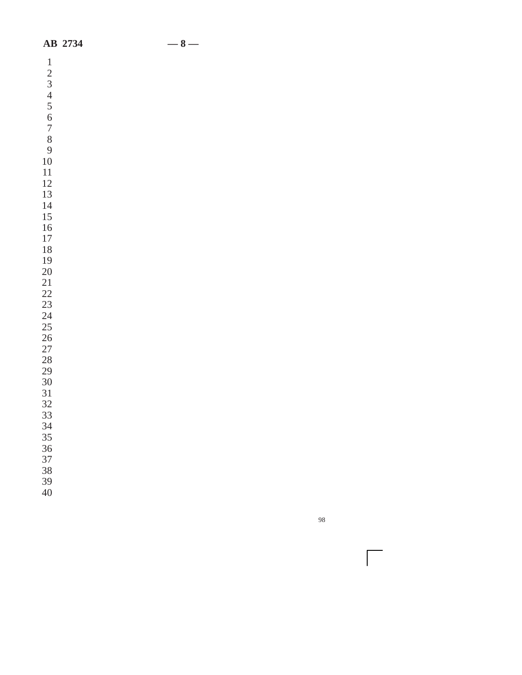| AB 2734         | 8 |  |
|-----------------|---|--|
|                 |   |  |
| 12345678        |   |  |
|                 |   |  |
|                 |   |  |
|                 |   |  |
|                 |   |  |
|                 |   |  |
| 9               |   |  |
| 10              |   |  |
| 11              |   |  |
| $\frac{12}{13}$ |   |  |
| 14              |   |  |
| 15              |   |  |
| 16              |   |  |
| 17              |   |  |
| 18<br>19        |   |  |
| 20              |   |  |
| 21              |   |  |
| 22              |   |  |
| 23              |   |  |
| 24              |   |  |
| 25<br>26        |   |  |
| 27              |   |  |
| 28              |   |  |
| 29              |   |  |
| 30              |   |  |
| 31              |   |  |
| 32<br>33        |   |  |
| 34              |   |  |
| 35              |   |  |
| 36              |   |  |
| 37              |   |  |
| 38              |   |  |
| 39              |   |  |

 $\Box$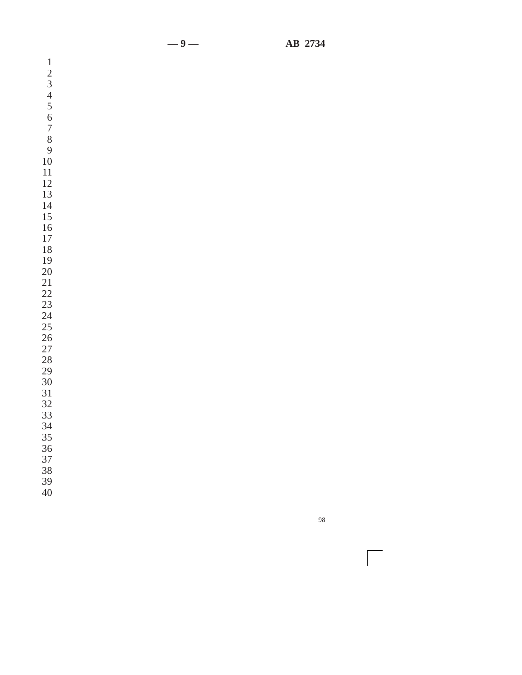$\overline{\phantom{0}}$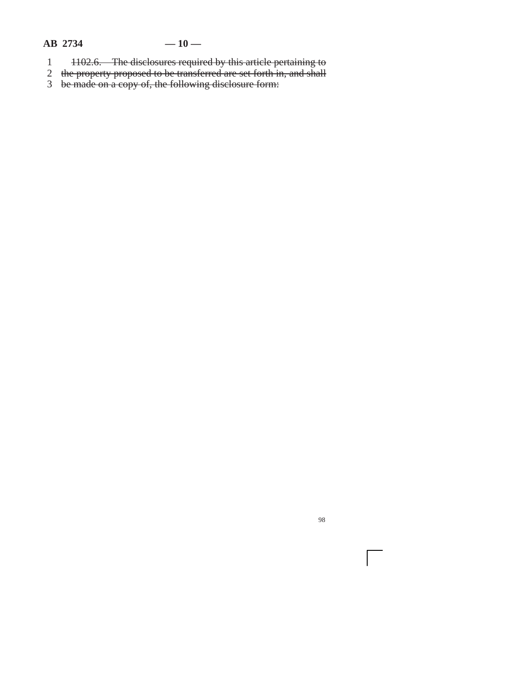# **AB 2734 — 10 —**

- 1 1102.6. The disclosures required by this article pertaining to
- 2 the property proposed to be transferred are set forth in, and shall
- 3 be made on a copy of, the following disclosure form: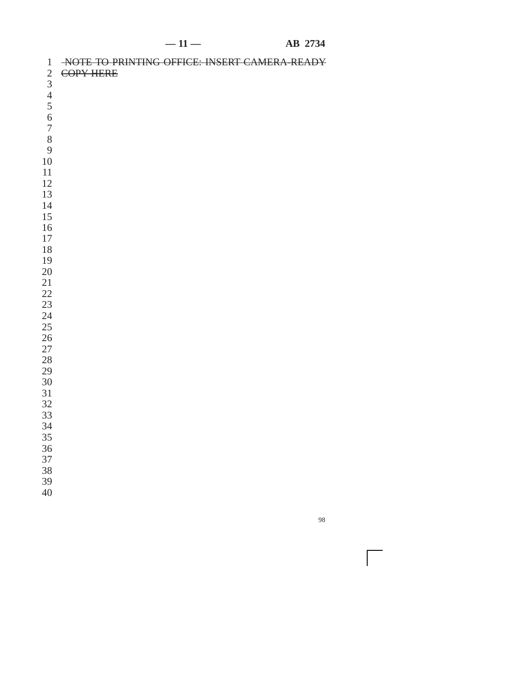| $\mathbf{1}$   | -NOTE TO PRINTING OFFICE: INSERT CAMERA-READY |
|----------------|-----------------------------------------------|
| $\mathbf{2}$   | <b>COPY HERE</b>                              |
| $\mathfrak{Z}$ |                                               |
|                |                                               |
| $\frac{4}{5}$  |                                               |
| $\overline{6}$ |                                               |
| $\sqrt{ }$     |                                               |
| 8              |                                               |
| 9              |                                               |
| $10\,$         |                                               |
| 11             |                                               |
| $12\,$         |                                               |
| 13             |                                               |
| 14             |                                               |
| 15<br>16       |                                               |
| $17\,$         |                                               |
| $18\,$         |                                               |
| 19             |                                               |
| $20\,$         |                                               |
| 21             |                                               |
| 22             |                                               |
| 23             |                                               |
| 24             |                                               |
| $25\,$         |                                               |
| $26\,$         |                                               |
| $27\,$         |                                               |
| $28\,$         |                                               |
| 29<br>$30\,$   |                                               |
| 31             |                                               |
| 32             |                                               |
| 33             |                                               |
| 34             |                                               |
| 35             |                                               |
| 36             |                                               |
| 37             |                                               |
| 38             |                                               |
| 39             |                                               |
| 40             |                                               |

Ξ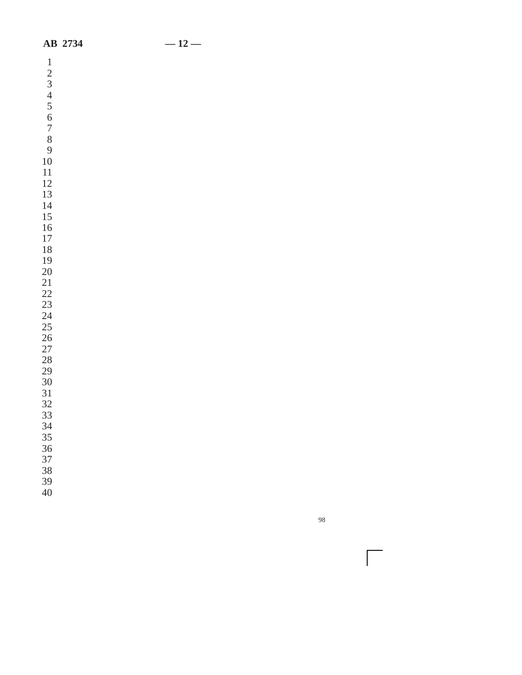| AB 2734  | 12 |
|----------|----|
|          |    |
| 12345678 |    |
|          |    |
|          |    |
|          |    |
|          |    |
|          |    |
| 9        |    |
| 10       |    |
| 11       |    |
| 12       |    |
| 13       |    |
| 14       |    |
| 15       |    |
| 16       |    |
| 17       |    |
| 18       |    |
| 19       |    |
| 20       |    |
| 21       |    |
| 22<br>23 |    |
| 24       |    |
| 25       |    |
| 26       |    |
| 27       |    |
| 28       |    |
| 29       |    |
| 30       |    |
| 31       |    |
| 32       |    |
| 33       |    |
| 34       |    |
| 35       |    |
| 36<br>37 |    |
| 38       |    |
| 39       |    |
|          |    |

Ξ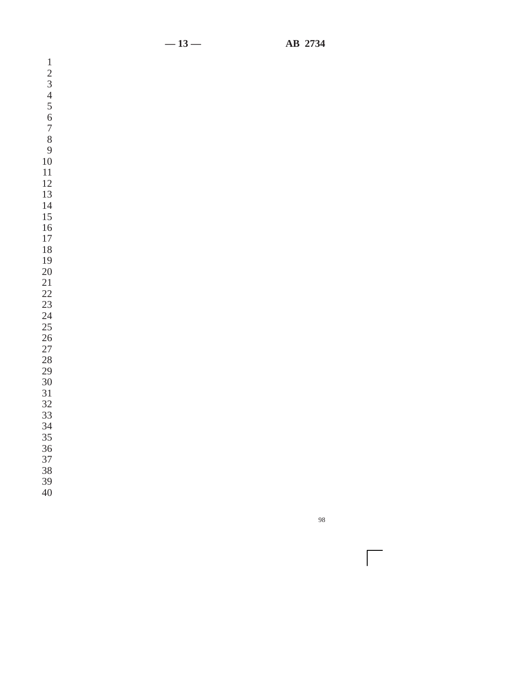$\overline{\phantom{0}}$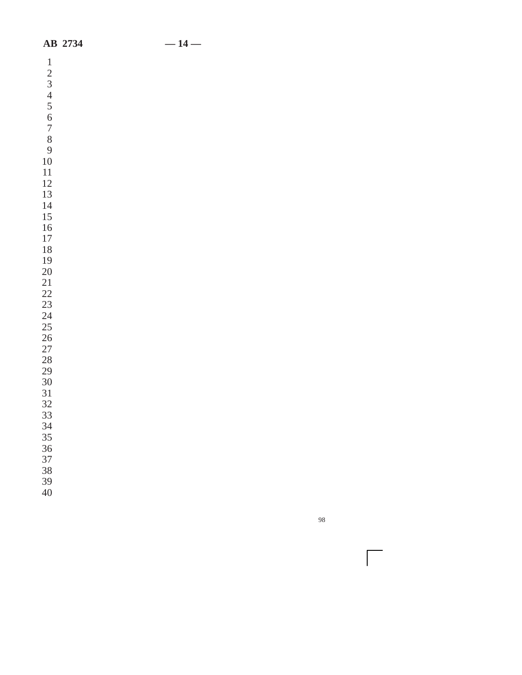| AB 2734      | $14-$ |
|--------------|-------|
| $\mathbf{1}$ |       |
| 234567       |       |
|              |       |
|              |       |
|              |       |
|              |       |
| 8            |       |
| 9            |       |
| 10<br>11     |       |
| 12           |       |
| 13           |       |
| 14           |       |
| 15           |       |
| 16           |       |
| 17<br>18     |       |
| 19           |       |
| 20           |       |
| 21           |       |
| 22           |       |
| 23<br>24     |       |
| 25           |       |
| 26           |       |
| 27           |       |
| 28           |       |
| 29           |       |
| 30<br>31     |       |
| 32           |       |
| 33           |       |
| 34           |       |
| 35           |       |
| 36           |       |
| 37<br>38     |       |
| 39           |       |

Ξ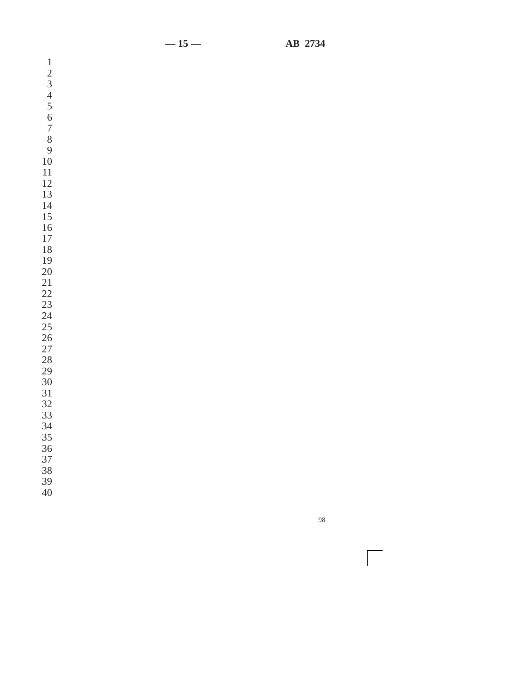$\overline{\phantom{0}}$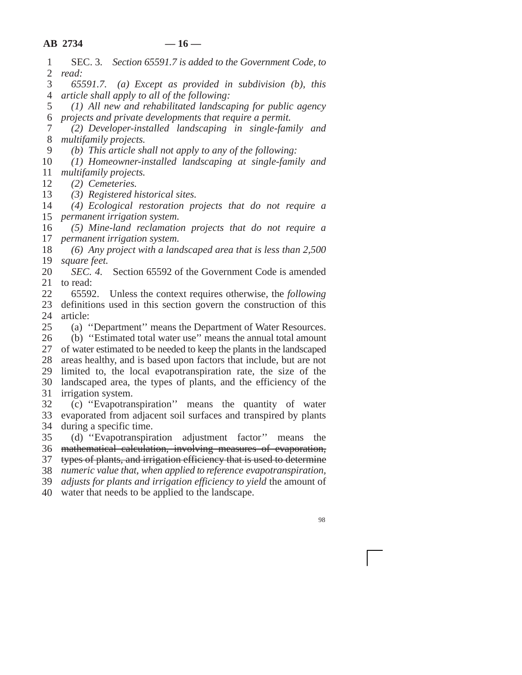*read:*

*article shall apply to all of the following:*

SEC. 3. *Section 65591.7 is added to the Government Code, to*

*65591.7. (a) Except as provided in subdivision (b), this*

*(1) All new and rehabilitated landscaping for public agency*

| 6              | projects and private developments that require a permit.             |
|----------------|----------------------------------------------------------------------|
| $\overline{7}$ | (2) Developer-installed landscaping in single-family and             |
| 8              | <i>multifamily projects.</i>                                         |
| 9              | (b) This article shall not apply to any of the following:            |
| 10             | (1) Homeowner-installed landscaping at single-family and             |
| 11             | <i>multifamily projects.</i>                                         |
| 12             | (2) Cemeteries.                                                      |
| 13             | (3) Registered historical sites.                                     |
| 14             | (4) Ecological restoration projects that do not require a            |
| 15             | permanent irrigation system.                                         |
| 16             | $(5)$ Mine-land reclamation projects that do not require a           |
| 17             | permanent irrigation system.                                         |
| 18             | $(6)$ Any project with a landscaped area that is less than 2,500     |
| 19             | square feet.                                                         |
| 20             | <i>SEC.</i> 4. Section 65592 of the Government Code is amended       |
| 21             | to read:                                                             |
| 22             | 65592. Unless the context requires otherwise, the <i>following</i>   |
| 23             | definitions used in this section govern the construction of this     |
| 24             | article:                                                             |
| 25             | (a) "Department" means the Department of Water Resources.            |
| 26             | (b) "Estimated total water use" means the annual total amount        |
| 27             | of water estimated to be needed to keep the plants in the landscaped |
| 28             | areas healthy, and is based upon factors that include, but are not   |
|                |                                                                      |

28 a 29 limited to, the local evapotranspiration rate, the size of the 30 landscaped area, the types of plants, and the efficiency of the 31 irrigation system.

32 33 evaporated from adjacent soil surfaces and transpired by plants 34 during a specific time. (c) ''Evapotranspiration'' means the quantity of water

35 36 mathematical calculation, involving measures of evaporation, 37 (d) ''Evapotranspiration adjustment factor'' means the types of plants, and irrigation efficiency that is used to determine

38 *numeric value that, when applied to reference evapotranspiration,*

39 *adjusts for plants and irrigation efficiency to yield* the amount of

40 water that needs to be applied to the landscape.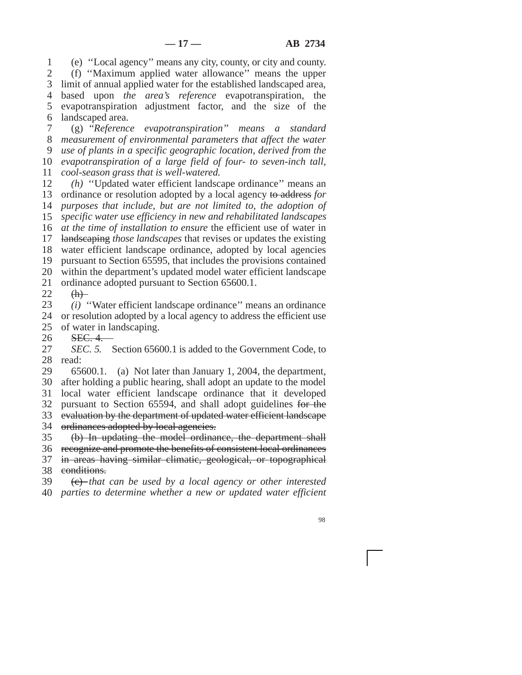1 (e) ''Local agency'' means any city, county, or city and county.

2 3 limit of annual applied water for the established landscaped area, 4 5 6 (f) ''Maximum applied water allowance'' means the upper based upon *the area's reference* evapotranspiration, the evapotranspiration adjustment factor, and the size of the landscaped area.

7 8 9 10 11 (g) *''Reference evapotranspiration'' means a standard measurement of environmental parameters that affect the water use of plants in a specific geographic location, derived from the evapotranspiration of a large field of four- to seven-inch tall, cool-season grass that is well-watered.*

12 13 14 15 16 17 18 19 20 21 *(h)* ''Updated water efficient landscape ordinance'' means an ordinance or resolution adopted by a local agency to address *for purposes that include, but are not limited to, the adoption of specific water use efficiency in new and rehabilitated landscapes at the time of installation to ensure* the efficient use of water in landscaping *those landscapes* that revises or updates the existing water efficient landscape ordinance, adopted by local agencies pursuant to Section 65595, that includes the provisions contained within the department's updated model water efficient landscape ordinance adopted pursuant to Section 65600.1.

22  $(h)$ 

23 24 *(i)* ''Water efficient landscape ordinance'' means an ordinance or resolution adopted by a local agency to address the efficient use

25 of water in landscaping.

26 SEC. 4.

27 28 read: *SEC. 5.* Section 65600.1 is added to the Government Code, to

29 30 31 32 33 34 65600.1. (a) Not later than January 1, 2004, the department, after holding a public hearing, shall adopt an update to the model local water efficient landscape ordinance that it developed pursuant to Section 65594, and shall adopt guidelines for the evaluation by the department of updated water efficient landscape ordinances adopted by local agencies.

35 36 recognize and promote the benefits of consistent local ordinances 37 38 (b) In updating the model ordinance, the department shall in areas having similar climatic, geological, or topographical conditions.

39 40 (c) *that can be used by a local agency or other interested parties to determine whether a new or updated water efficient*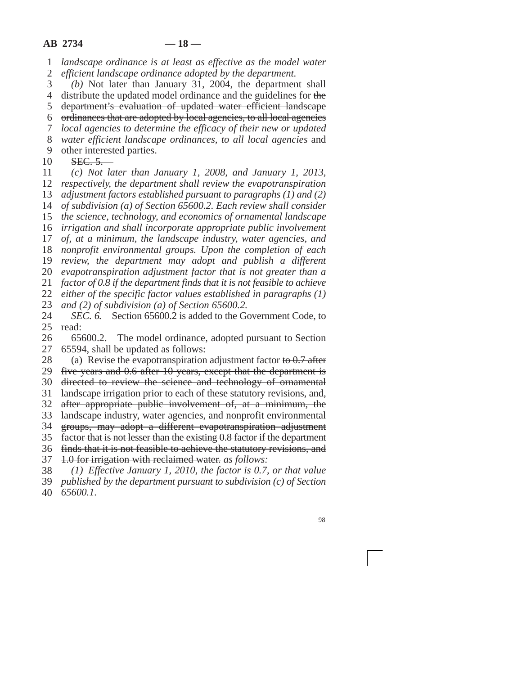1 2 *landscape ordinance is at least as effective as the model water efficient landscape ordinance adopted by the department.*

3 4 5 6 7 8 9 *(b)* Not later than January 31, 2004, the department shall distribute the updated model ordinance and the guidelines for the department's evaluation of updated water efficient landscape ordinances that are adopted by local agencies, to all local agencies *local agencies to determine the efficacy of their new or updated water efficient landscape ordinances, to all local agencies* and other interested parties.

10 SEC. 5.

11 12 13 14 15 16 17 18 19 20 21 22 23 *(c) Not later than January 1, 2008, and January 1, 2013, respectively, the department shall review the evapotranspiration adjustment factors established pursuant to paragraphs (1) and (2) of subdivision (a) of Section 65600.2. Each review shall consider the science, technology, and economics of ornamental landscape irrigation and shall incorporate appropriate public involvement of, at a minimum, the landscape industry, water agencies, and nonprofit environmental groups. Upon the completion of each review, the department may adopt and publish a different evapotranspiration adjustment factor that is not greater than a factor of 0.8 if the department finds that it is not feasible to achieve either of the specific factor values established in paragraphs (1) and (2) of subdivision (a) of Section 65600.2.*

24 25 *SEC. 6.* Section 65600.2 is added to the Government Code, to read:

26 27 65600.2. The model ordinance, adopted pursuant to Section 65594, shall be updated as follows:

28 (a) Revise the evapotranspiration adjustment factor to  $0.7$  after

29 five years and 0.6 after 10 years, except that the department is

30 directed to review the science and technology of ornamental

31 landscape irrigation prior to each of these statutory revisions, and,

32 after appropriate public involvement of, at a minimum, the

33 landscape industry, water agencies, and nonprofit environmental

34 groups, may adopt a different evapotranspiration adjustment

35 factor that is not lesser than the existing 0.8 factor if the department

36 finds that it is not feasible to achieve the statutory revisions, and

37 1.0 for irrigation with reclaimed water. *as follows:*

38 *(1) Effective January 1, 2010, the factor is 0.7, or that value*

39 *published by the department pursuant to subdivision (c) of Section*

40 *65600.1.*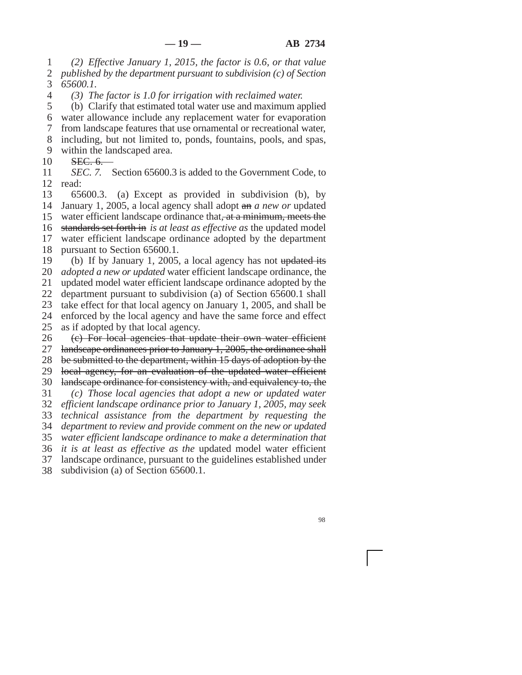1 2 3 *(2) Effective January 1, 2015, the factor is 0.6, or that value published by the department pursuant to subdivision (c) of Section 65600.1.*

4 *(3) The factor is 1.0 for irrigation with reclaimed water.*

5 6 7 8 9 (b) Clarify that estimated total water use and maximum applied water allowance include any replacement water for evaporation from landscape features that use ornamental or recreational water, including, but not limited to, ponds, fountains, pools, and spas, within the landscaped area.

10 SEC. 6.

11 12 *SEC. 7.* Section 65600.3 is added to the Government Code, to read:

13 14 15 16 17 18 65600.3. (a) Except as provided in subdivision (b), by January 1, 2005, a local agency shall adopt an *a new or* updated water efficient landscape ordinance that, at a minimum, meets the standards set forth in *is at least as effective as* the updated model water efficient landscape ordinance adopted by the department pursuant to Section 65600.1.

19 20 21 22 23 24 25 26 27 28 29 30 (b) If by January 1, 2005, a local agency has not  $u$  pedated its *adopted a new or updated* water efficient landscape ordinance, the updated model water efficient landscape ordinance adopted by the department pursuant to subdivision (a) of Section 65600.1 shall take effect for that local agency on January 1, 2005, and shall be enforced by the local agency and have the same force and effect as if adopted by that local agency. (c) For local agencies that update their own water efficient landscape ordinances prior to January 1, 2005, the ordinance shall be submitted to the department, within 15 days of adoption by the local agency, for an evaluation of the updated water efficient landscape ordinance for consistency with, and equivalency to, the

31 32 33 34 35 36 37 *(c) Those local agencies that adopt a new or updated water efficient landscape ordinance prior to January 1, 2005, may seek technical assistance from the department by requesting the department to review and provide comment on the new or updated water efficient landscape ordinance to make a determination that it is at least as effective as the* updated model water efficient landscape ordinance, pursuant to the guidelines established under

38 subdivision (a) of Section 65600.1.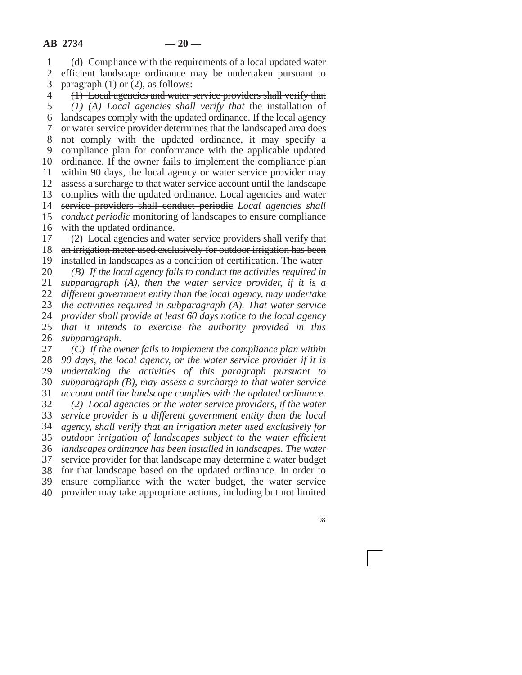1 2 3 4 5 6 7 8 9 10 11 12 13 14 15 16 17 18 19 20 21 22 23 24 25 26 27 28 29 30 (d) Compliance with the requirements of a local updated water efficient landscape ordinance may be undertaken pursuant to paragraph (1) or (2), as follows: (1) Local agencies and water service providers shall verify that *(1) (A) Local agencies shall verify that* the installation of landscapes comply with the updated ordinance. If the local agency or water service provider determines that the landscaped area does not comply with the updated ordinance, it may specify a compliance plan for conformance with the applicable updated ordinance. If the owner fails to implement the compliance plan within 90 days, the local agency or water service provider may assess a surcharge to that water service account until the landscape complies with the updated ordinance. Local agencies and water service providers shall conduct periodic *Local agencies shall conduct periodic* monitoring of landscapes to ensure compliance with the updated ordinance. (2) Local agencies and water service providers shall verify that an irrigation meter used exclusively for outdoor irrigation has been installed in landscapes as a condition of certification. The water *(B) If the local agency fails to conduct the activities required in subparagraph (A), then the water service provider, if it is a different government entity than the local agency, may undertake the activities required in subparagraph (A). That water service provider shall provide at least 60 days notice to the local agency that it intends to exercise the authority provided in this subparagraph. (C) If the owner fails to implement the compliance plan within 90 days, the local agency, or the water service provider if it is undertaking the activities of this paragraph pursuant to subparagraph (B), may assess a surcharge to that water service*

31 32 33 34 35 36 37 38 39 40 *account until the landscape complies with the updated ordinance. (2) Local agencies or the water service providers, if the water service provider is a different government entity than the local agency, shall verify that an irrigation meter used exclusively for outdoor irrigation of landscapes subject to the water efficient landscapes ordinance has been installed in landscapes. The water* service provider for that landscape may determine a water budget for that landscape based on the updated ordinance. In order to ensure compliance with the water budget, the water service provider may take appropriate actions, including but not limited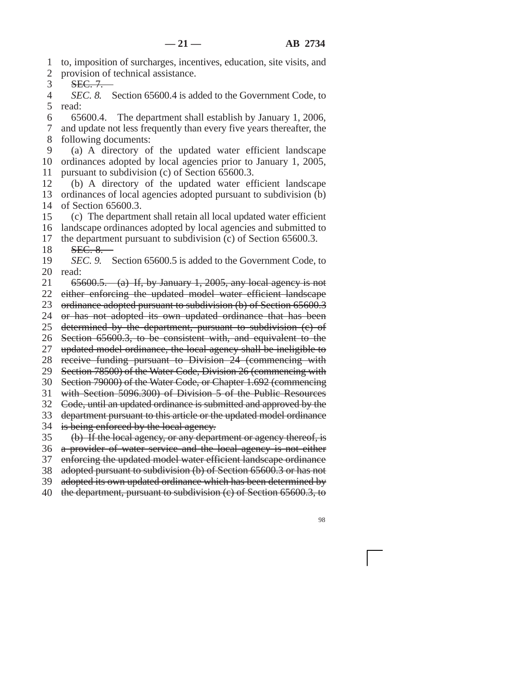1 2 to, imposition of surcharges, incentives, education, site visits, and provision of technical assistance.

3 SEC. 7.

4 5 *SEC. 8.* Section 65600.4 is added to the Government Code, to read:

6 7 8 65600.4. The department shall establish by January 1, 2006, and update not less frequently than every five years thereafter, the following documents:

9 10 11 (a) A directory of the updated water efficient landscape ordinances adopted by local agencies prior to January 1, 2005, pursuant to subdivision (c) of Section 65600.3.

12 13 14 (b) A directory of the updated water efficient landscape ordinances of local agencies adopted pursuant to subdivision (b) of Section 65600.3.

15 16 17 (c) The department shall retain all local updated water efficient landscape ordinances adopted by local agencies and submitted to the department pursuant to subdivision (c) of Section 65600.3.

18 SEC. 8.

19 20 read: *SEC. 9.* Section 65600.5 is added to the Government Code, to

21 65600.5. (a) If, by January 1, 2005, any local agency is not

22 23 either enforcing the updated model water efficient landscape ordinance adopted pursuant to subdivision (b) of Section 65600.3

24 or has not adopted its own updated ordinance that has been

25 determined by the department, pursuant to subdivision (c) of

26 Section 65600.3, to be consistent with, and equivalent to the

27 updated model ordinance, the local agency shall be ineligible to

28 receive funding pursuant to Division 24 (commencing with

29 Section 78500) of the Water Code, Division 26 (commencing with

30 Section 79000) of the Water Code, or Chapter 1.692 (commencing

31 with Section 5096.300) of Division 5 of the Public Resources

32 Code, until an updated ordinance is submitted and approved by the

33 34 department pursuant to this article or the updated model ordinance is being enforced by the local agency.

35 (b) If the local agency, or any department or agency thereof, is

36 a provider of water service and the local agency is not either

37 enforcing the updated model water efficient landscape ordinance

38 adopted pursuant to subdivision (b) of Section 65600.3 or has not

39 adopted its own updated ordinance which has been determined by

40 the department, pursuant to subdivision (c) of Section 65600.3, to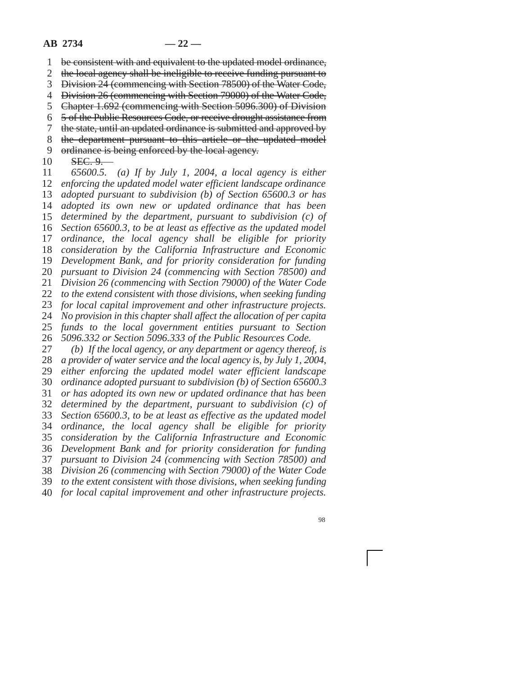1 be consistent with and equivalent to the updated model ordinance,

2 the local agency shall be ineligible to receive funding pursuant to

3 Division 24 (commencing with Section 78500) of the Water Code,

4 Division 26 (commencing with Section 79000) of the Water Code,

5 Chapter 1.692 (commencing with Section 5096.300) of Division

6 5 of the Public Resources Code, or receive drought assistance from

7 the state, until an updated ordinance is submitted and approved by

8 the department pursuant to this article or the updated model

9 ordinance is being enforced by the local agency.

#### 10 SEC. 9.

11 12 13 14 15 16 17 18 19 20 21 22 23 24 25 26 27 28 29 30 31 32 33 34 35 36 *65600.5. (a) If by July 1, 2004, a local agency is either enforcing the updated model water efficient landscape ordinance adopted pursuant to subdivision (b) of Section 65600.3 or has adopted its own new or updated ordinance that has been determined by the department, pursuant to subdivision (c) of Section 65600.3, to be at least as effective as the updated model ordinance, the local agency shall be eligible for priority consideration by the California Infrastructure and Economic Development Bank, and for priority consideration for funding pursuant to Division 24 (commencing with Section 78500) and Division 26 (commencing with Section 79000) of the Water Code to the extend consistent with those divisions, when seeking funding for local capital improvement and other infrastructure projects. No provision in this chapter shall affect the allocation of per capita funds to the local government entities pursuant to Section 5096.332 or Section 5096.333 of the Public Resources Code. (b) If the local agency, or any department or agency thereof, is a provider of water service and the local agency is, by July 1, 2004, either enforcing the updated model water efficient landscape ordinance adopted pursuant to subdivision (b) of Section 65600.3 or has adopted its own new or updated ordinance that has been determined by the department, pursuant to subdivision (c) of Section 65600.3, to be at least as effective as the updated model ordinance, the local agency shall be eligible for priority consideration by the California Infrastructure and Economic Development Bank and for priority consideration for funding*

37 *pursuant to Division 24 (commencing with Section 78500) and*

38 *Division 26 (commencing with Section 79000) of the Water Code*

39 *to the extent consistent with those divisions, when seeking funding*

40 *for local capital improvement and other infrastructure projects.*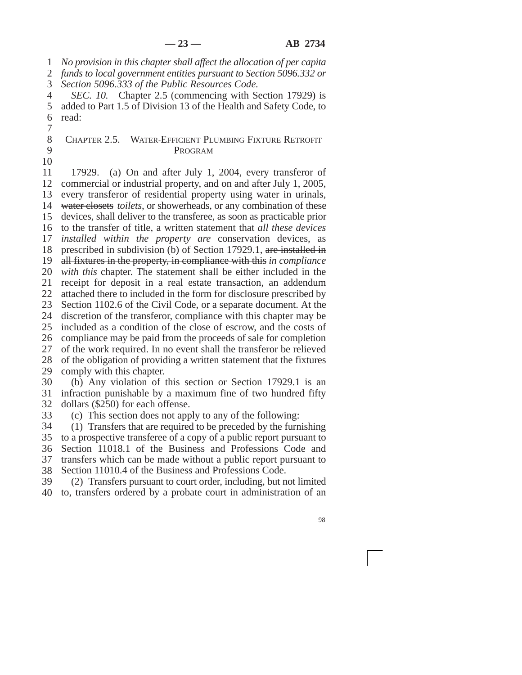1 2 *No provision in this chapter shall affect the allocation of per capita funds to local government entities pursuant to Section 5096.332 or*

3 *Section 5096.333 of the Public Resources Code.*

4 5 *SEC. 10.* Chapter 2.5 (commencing with Section 17929) is added to Part 1.5 of Division 13 of the Health and Safety Code, to

6 7 8 9 10 11 12 13 14 15 16 17 18 19 20 *with this* chapter. The statement shall be either included in the 21 22 23 24 25 26 27 28 29 30 31 32 33 read: CHAPTER 2.5. WATER-EFFICIENT PLUMBING FIXTURE RETROFIT PROGRAM 17929. (a) On and after July 1, 2004, every transferor of commercial or industrial property, and on and after July 1, 2005, every transferor of residential property using water in urinals, water closets *toilets*, or showerheads, or any combination of these devices, shall deliver to the transferee, as soon as practicable prior to the transfer of title, a written statement that *all these devices installed within the property are* conservation devices, as prescribed in subdivision (b) of Section 17929.1, are installed in all fixtures in the property, in compliance with this *in compliance* receipt for deposit in a real estate transaction, an addendum attached there to included in the form for disclosure prescribed by Section 1102.6 of the Civil Code, or a separate document. At the discretion of the transferor, compliance with this chapter may be included as a condition of the close of escrow, and the costs of compliance may be paid from the proceeds of sale for completion of the work required. In no event shall the transferor be relieved of the obligation of providing a written statement that the fixtures comply with this chapter. (b) Any violation of this section or Section 17929.1 is an infraction punishable by a maximum fine of two hundred fifty dollars (\$250) for each offense. (c) This section does not apply to any of the following:

34 35 36 37 38 (1) Transfers that are required to be preceded by the furnishing to a prospective transferee of a copy of a public report pursuant to Section 11018.1 of the Business and Professions Code and transfers which can be made without a public report pursuant to Section 11010.4 of the Business and Professions Code.

39 40 (2) Transfers pursuant to court order, including, but not limited to, transfers ordered by a probate court in administration of an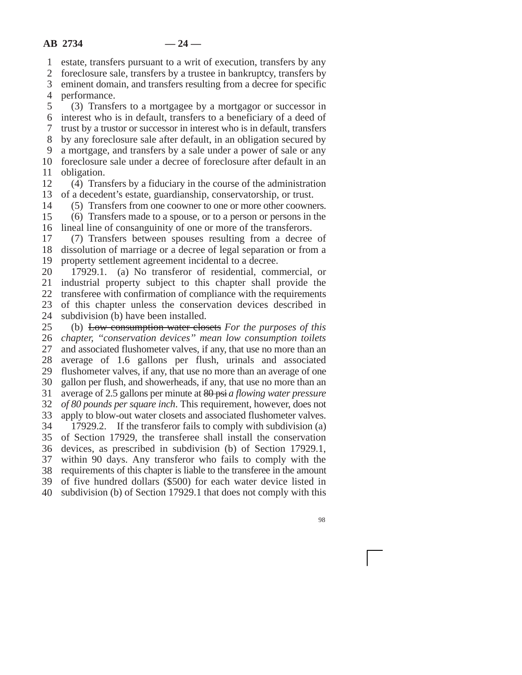1 estate, transfers pursuant to a writ of execution, transfers by any

2 foreclosure sale, transfers by a trustee in bankruptcy, transfers by

3 4 eminent domain, and transfers resulting from a decree for specific performance.

5 6 7 8 9 10 11 (3) Transfers to a mortgagee by a mortgagor or successor in interest who is in default, transfers to a beneficiary of a deed of trust by a trustor or successor in interest who is in default, transfers by any foreclosure sale after default, in an obligation secured by a mortgage, and transfers by a sale under a power of sale or any foreclosure sale under a decree of foreclosure after default in an obligation.

12 13 (4) Transfers by a fiduciary in the course of the administration of a decedent's estate, guardianship, conservatorship, or trust.

14 (5) Transfers from one coowner to one or more other coowners.

15 16 (6) Transfers made to a spouse, or to a person or persons in the lineal line of consanguinity of one or more of the transferors.

17 (7) Transfers between spouses resulting from a decree of

18 19 dissolution of marriage or a decree of legal separation or from a property settlement agreement incidental to a decree.

20 21 22 23 24 17929.1. (a) No transferor of residential, commercial, or industrial property subject to this chapter shall provide the transferee with confirmation of compliance with the requirements of this chapter unless the conservation devices described in subdivision (b) have been installed.

25 26 27 28 29 30 31 32 33 34 35 36 37 38 39 40 (b) Low consumption water closets *For the purposes of this chapter, ''conservation devices'' mean low consumption toilets* and associated flushometer valves, if any, that use no more than an average of 1.6 gallons per flush, urinals and associated flushometer valves, if any, that use no more than an average of one gallon per flush, and showerheads, if any, that use no more than an average of 2.5 gallons per minute at 80 psi *a flowing water pressure of 80 pounds per square inch*. This requirement, however, does not apply to blow-out water closets and associated flushometer valves. 17929.2. If the transferor fails to comply with subdivision (a) of Section 17929, the transferee shall install the conservation devices, as prescribed in subdivision (b) of Section 17929.1, within 90 days. Any transferor who fails to comply with the requirements of this chapter is liable to the transferee in the amount of five hundred dollars (\$500) for each water device listed in subdivision (b) of Section 17929.1 that does not comply with this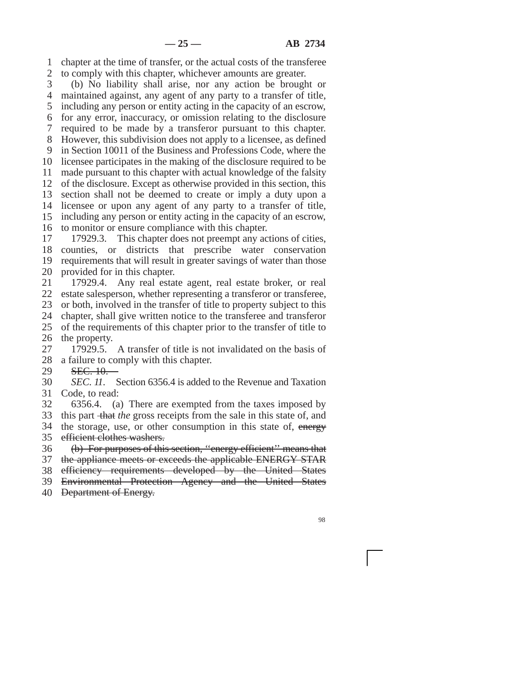1 chapter at the time of transfer, or the actual costs of the transferee

2 to comply with this chapter, whichever amounts are greater.

3 4 5 6 7 8 9 10 11 12 13 14 15 (b) No liability shall arise, nor any action be brought or maintained against, any agent of any party to a transfer of title, including any person or entity acting in the capacity of an escrow, for any error, inaccuracy, or omission relating to the disclosure required to be made by a transferor pursuant to this chapter. However, this subdivision does not apply to a licensee, as defined in Section 10011 of the Business and Professions Code, where the licensee participates in the making of the disclosure required to be made pursuant to this chapter with actual knowledge of the falsity of the disclosure. Except as otherwise provided in this section, this section shall not be deemed to create or imply a duty upon a licensee or upon any agent of any party to a transfer of title, including any person or entity acting in the capacity of an escrow,

16 to monitor or ensure compliance with this chapter.

17 18 19 20 17929.3. This chapter does not preempt any actions of cities, counties, or districts that prescribe water conservation requirements that will result in greater savings of water than those provided for in this chapter.

21 22 estate salesperson, whether representing a transferor or transferee, 23 24 25 26 17929.4. Any real estate agent, real estate broker, or real or both, involved in the transfer of title to property subject to this chapter, shall give written notice to the transferee and transferor of the requirements of this chapter prior to the transfer of title to the property.

27 28 17929.5. A transfer of title is not invalidated on the basis of a failure to comply with this chapter.

29 SEC. 10.

30 31 *SEC. 11.* Section 6356.4 is added to the Revenue and Taxation Code, to read:

32 33 34 35 6356.4. (a) There are exempted from the taxes imposed by this part that *the* gross receipts from the sale in this state of, and the storage, use, or other consumption in this state of, energy efficient clothes washers.

36 37 (b) For purposes of this section, ''energy efficient'' means that the appliance meets or exceeds the applicable ENERGY STAR

38 efficiency requirements developed by the United States

39 Environmental Protection Agency and the United States

40 Department of Energy.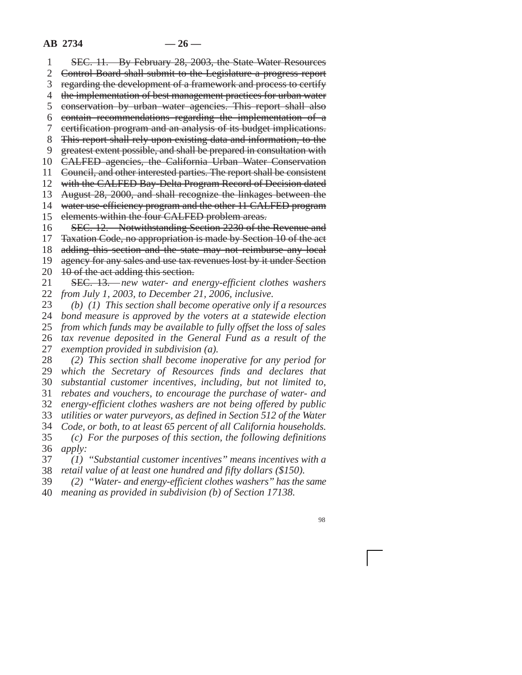#### **AB 2734 — 26 —**

1 2 3 4 5 6 7 8 9 10 11 12 13 14 15 16 17 18 19 20 21 22 23 24 25 26 27 28 29 30 31 32 33 34 35 36 37 38 SEC. 11. By February 28, 2003, the State Water Resources Control Board shall submit to the Legislature a progress report regarding the development of a framework and process to certify the implementation of best management practices for urban water conservation by urban water agencies. This report shall also contain recommendations regarding the implementation of a certification program and an analysis of its budget implications. This report shall rely upon existing data and information, to the greatest extent possible, and shall be prepared in consultation with CALFED agencies, the California Urban Water Conservation Council, and other interested parties. The report shall be consistent with the CALFED Bay-Delta Program Record of Decision dated August 28, 2000, and shall recognize the linkages between the water use-efficiency program and the other 11 CALFED program elements within the four CALFED problem areas. SEC. 12. Notwithstanding Section 2230 of the Revenue and Taxation Code, no appropriation is made by Section 10 of the act adding this section and the state may not reimburse any local agency for any sales and use tax revenues lost by it under Section 10 of the act adding this section. SEC. 13. *new water- and energy-efficient clothes washers from July 1, 2003, to December 21, 2006, inclusive. (b) (1) This section shall become operative only if a resources bond measure is approved by the voters at a statewide election from which funds may be available to fully offset the loss of sales tax revenue deposited in the General Fund as a result of the exemption provided in subdivision (a). (2) This section shall become inoperative for any period for which the Secretary of Resources finds and declares that substantial customer incentives, including, but not limited to, rebates and vouchers, to encourage the purchase of water- and energy-efficient clothes washers are not being offered by public utilities or water purveyors, as defined in Section 512 of the Water Code, or both, to at least 65 percent of all California households. (c) For the purposes of this section, the following definitions apply: (1) ''Substantial customer incentives'' means incentives with a retail value of at least one hundred and fifty dollars (\$150).*

39 40 *(2) ''Water- and energy-efficient clothes washers'' has the same meaning as provided in subdivision (b) of Section 17138.*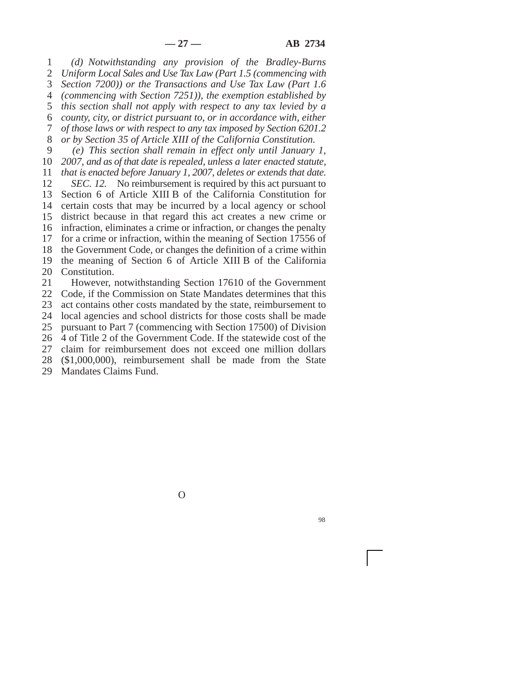1 2 3 4 5 6 7 8 9 10 11 12 13 14 15 16 17 18 19 20 21 22 23 24 25 26 27 *(d) Notwithstanding any provision of the Bradley-Burns Uniform Local Sales and Use Tax Law (Part 1.5 (commencing with Section 7200)) or the Transactions and Use Tax Law (Part 1.6 (commencing with Section 7251)), the exemption established by this section shall not apply with respect to any tax levied by a county, city, or district pursuant to, or in accordance with, either of those laws or with respect to any tax imposed by Section 6201.2 or by Section 35 of Article XIII of the California Constitution. (e) This section shall remain in effect only until January 1, 2007, and as of that date is repealed, unless a later enacted statute, that is enacted before January 1, 2007, deletes or extends that date. SEC. 12.* No reimbursement is required by this act pursuant to Section 6 of Article XIII B of the California Constitution for certain costs that may be incurred by a local agency or school district because in that regard this act creates a new crime or infraction, eliminates a crime or infraction, or changes the penalty for a crime or infraction, within the meaning of Section 17556 of the Government Code, or changes the definition of a crime within the meaning of Section 6 of Article XIII B of the California Constitution. However, notwithstanding Section 17610 of the Government Code, if the Commission on State Mandates determines that this act contains other costs mandated by the state, reimbursement to local agencies and school districts for those costs shall be made pursuant to Part 7 (commencing with Section 17500) of Division 4 of Title 2 of the Government Code. If the statewide cost of the claim for reimbursement does not exceed one million dollars

28 (\$1,000,000), reimbursement shall be made from the State

29 Mandates Claims Fund.

O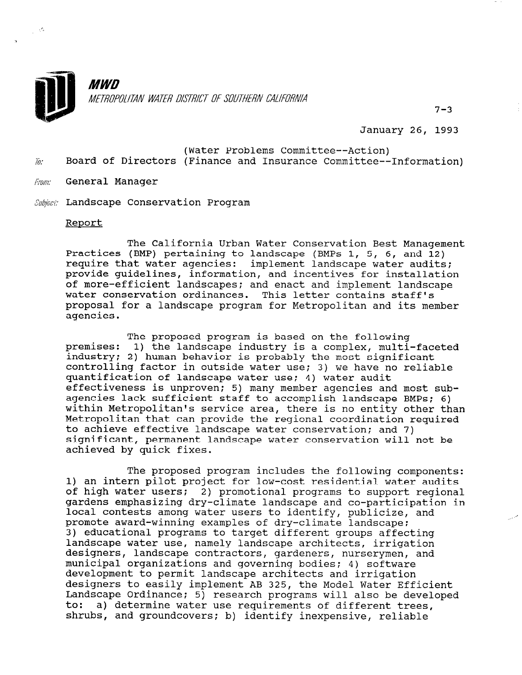<span id="page-29-0"></span> $\frac{1}{2} - \sqrt{2} \delta$ 

*MWD* METROPOLITAN WATER DISTRICT OF SOUTHERN CALIFORNIA

 $7 - 3$ 

January 26, 1993

- (Water Problems Committee--Action)  $\dddot{\theta}$ . Board of Directors (Finance and Insurance Committee--Information)
- From: General Manager
- Subject: Landscape Conservation Program

#### Report

The California Urban Water Conservation Best Management Practices (BMP) pertaining to landscape (BMPs 1, 5, 6, and 12) require that water agencies: implement landscape water audits; provide guidelines, information, and incentives for installation of more-efficient landscapes; and enact and implement landscape water conservation ordinances. This letter contains staff's proposal for a landscape program for Metropolitan and its member agencies.

The proposed program is based on the following premises: 1) the landscape industry is a complex, multi-faceted industry; 2) human behavior is probably the most significant controlling factor in outside water use; 3) we have no reliable quantification of landscape water use; 4) water audit effectiveness is unproven; 5) many member agencies and most subagencies lack sufficient staff to accomplish landscape BMPs; 6) within Metropolitan's service area, there is no entity other than Metropolitan that can provide the regional coordination required to achieve effective landscape water conservation; and 7) significant, permanent landscape water conservation will not be achieved by quick fixes.

The proposed program includes the following components: 1) an intern pilot project for low-cost residential water audits of high water users; 2) promotional programs to support regional of high water users, z, promotional programs to support regional gardens empnasizing dry-ciimate iandscape and co-participati<br>legel contests emens water users to identify, and is i local contests among water users to identify, publicize, and promote award-winning examples of dry-climate landscape; 3) educational programs to target different groups affecting landscape water use, namely landscape architects, irrigation designers, landscape contractors, gardeners, nurserymen, and municipal organizations and governing bodies; 4) software development to permit landscape architects and irrigation designers to easily implement AB 325, the Model Water Efficient Landscape Ordinance; 5) research programs will also be developed<br>to: a) determine water use requirements of different trees to: a) determine water use requirements of different trees,<br>shrubs, and groundcovers; b) identify inexpensive, reliable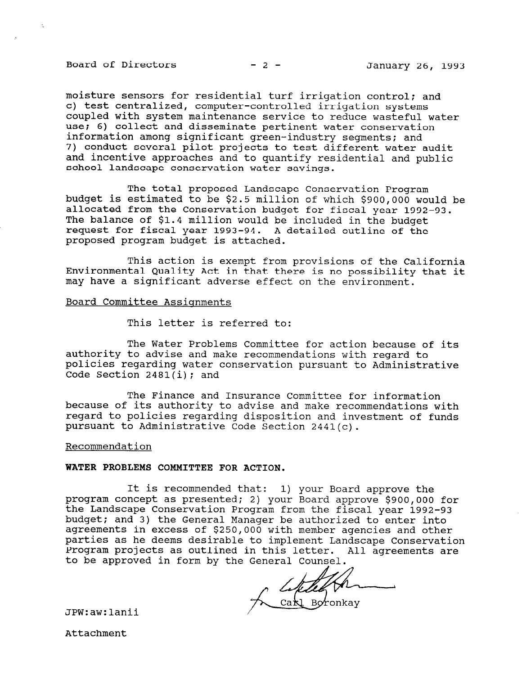Board of Directors  $-2 -$  January 26, 1993

 $\lambda$ 

moisture sensors for residential turf irrigation control; and c) test centralized, computer-controlled irrigation systems coupled with system maintenance service to reduce wasteful water use; 6) collect and disseminate pertinent water conservation information among significant green-industry segments: and 7) conduct several pilot projects to test different water audit and incentive approaches and to quantify residential and public school landscape conservation water savings.

The total proposed Landscape Conservation Program budget is estimated to be \$2.5 million of which \$900,000 would be allocated from the Conservation budget for fiscal year 1992-93. The balance of \$1.4 million would be included in the budget request for fiscal year 1993-94. A detailed outline of the proposed program budget is attached.

This action is exempt from provisions of the California Environmental Quality Act in that there is no possibility that it may have a significant adverse effect on the environment.

#### Board Committee Assiqnments

This letter is referred to:

The Water Problems Committee for action because of its authority to advise and make recommendations with regard to policies regarding water conservation pursuant to Administrative Code Section 2481(i); and

The Finance and Insurance Committee for information because of its authority to advise and make recommendations with regard to policies regarding disposition and investment of funds pursuant to Administrative Code Section 2441(c).

#### Recommendation

#### WATER PROBLEMS COMMITTEE FOR ACTION.

It is recommended that: 1) your Board approve the program concept as presented that: 1, your board approve the program concept as presented; 2) your board approve \$900,000 represented to the fiscal server 1998-93 the Landscape Conservation Program from the fiscal year 1992-93 budget; and 3) the General Manager be authorized to enter into agreements in excess of \$250,000 with member agencies and other parties as he deems desirable to implement Landscape Conservation Program projects as outlined in this letter. All agreements are<br>to be approved in form by the General Counsel.

Can Boronkay

JPW:aw:lanii

Attachment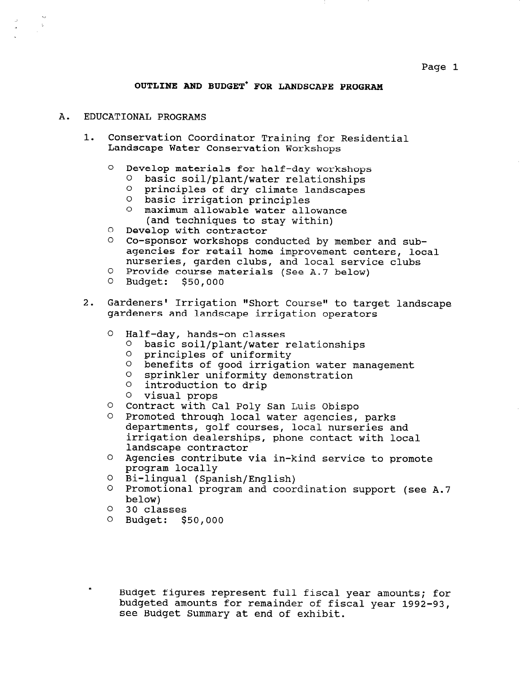### OUTLINE AND BUDGET\* FOR LANDSCAPE PROGRAM

### A. EDUCATIONAL PROGRAMS

- 1. Conservation Coordinator Training for Residential Landscape Water Conservation Workshops
	- O Develop materials for half-day workshops
		- 0 basic soil/plant/water relationships
		- 0 principles of dry climate landscapes
		- <sup>0</sup>basic irrigation principles
		- <sup>0</sup>maximum allowable water allowance (and techniques to stay within)
	- 0 Develop with contractor
	- 0 Co-sponsor workshops conducted by member and subagencies for retail home improvement centers, local nurseries, garden clubs, and local service clubs
	- 0 Provide course materials (See A.7 below)
	- <sup>0</sup>Budget: \$50,000
- 2. Gardeners' Irrigation "Short Course" to target landscape gardeners and landscape irrigation operators
	- $\Omega$ Half-day, hands-on classes
		- <sup>0</sup>basic soil/plant/water relationships
		- 0 principles of uniformity
		- 0 benefits of good irrigation water management
		- <sup>0</sup>sprinkler uniformity demonstration
		- <sup>0</sup>introduction to drip
		- O visual props
	- $\circ$ Contract with Cal Poly San Luis Obispo
	- $\circ$ Promoted through local water agencies, parks departments, golf courses, local nurseries and irrigation dealerships, phone contact with local landscape contractor
	- Agencies contribute via in-kind service to promote nyencies cont<br>nyewew legal program locally<br>
	O Bi-lingual (Spanish/English)
	-
	- Promotional program and coordination support (see A.7 below)
	- 30 classes
	- Budget: \$50,000

 $\ddot{\phantom{a}}$  budget figures represent functions represent functions; for a mounts; for a mounts; for a mounts; for a mounts; for a mounts; for a mounts; for a mounts; for a mounts; for a mounts; for a mounts; for a mounts; budget rigures represent full riscal year amounts; fo budgeted amounts for remainder of fiscal year 1992-93, see Budget Summary at end of exhibit.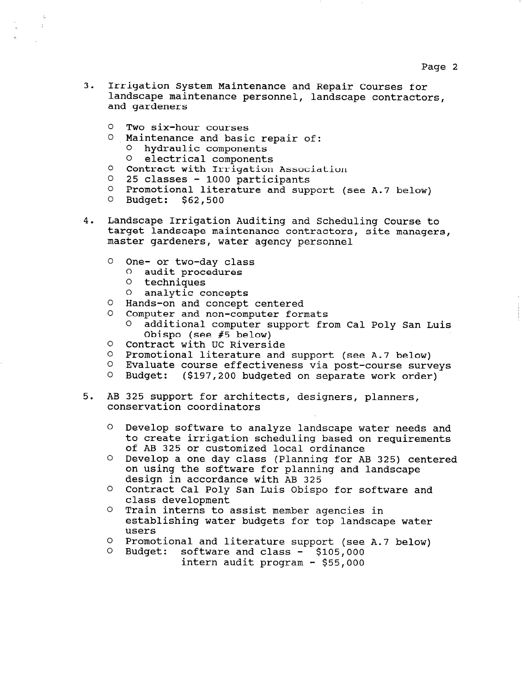- Page 2
- 3. Irrigation System Maintenance and Repair Courses for landscape maintenance personnel, landscape contractors, and gardeners
	- <sup>0</sup>Two six-hour courses
	- <sup>0</sup>Maintenance and basic repair of:
		- 0 hydraulic components
		- <sup>0</sup>electrical components
	- <sup>0</sup>Contract with Irrigation Association
	- <sup>0</sup>25 classes 1000 participants
	- O Promotional literature and support (see A.7 below)
	- <sup>0</sup>Budget: \$62,500
- 4. Landscape Irrigation Auditing and Scheduling Course to target landscape maintenance contractors, site managers, master gardeners, water agency personnel
	- O One- or two-day class
		- <sup>0</sup>audit procedures
		- 0 techniques
		- <sup>0</sup>analytic concepts
	- <sup>0</sup>Hands-on and concept centered
	- <sup>0</sup>Computer and non-computer formats
		- <sup>0</sup>additional computer support from Cal Poly San Luis Obispo (see #5 below)
	- <sup>0</sup>Contract with UC Riverside
	- 0 Promotional literature and support (see A.7 below)
	- <sup>0</sup>Evaluate course effectiveness via post-course surveys
	- $\circ$  Budget: (\$197,200 budgeted on separate work order)
- 5. AB 325 support for architects, designers, planners, conservation coordinators
	- <sup>0</sup>Develop software to analyze landscape water needs and to create irrigation scheduling based on requirements of AB 325 or customized local ordinance
	- <sup>0</sup>Develop a one day class (Planning for AB 325) centered on using the software for planning and landscape design in accordance with AB 325
	- <sup>0</sup>Contract Cal Poly San Luis Obispo for software and concract car ro class development<br><sup>O</sup> Train interns to assist member agencies in
	- establishing water budgets for top landscape water esta<br>"sear ubelb<br>0 Promotional and literature support (see A.7 below)
	- o Promocional and Ilterature support (se
		- software and class  $-$  \$105,000 intern audit program  $-$  \$55,000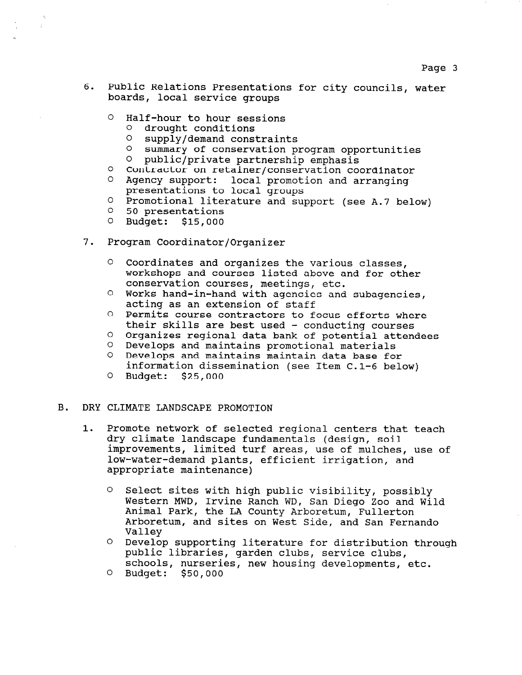- 6. Public Relations Presentations for city councils, water boards, local service groups
	- <sup>0</sup>Half-hour to hour sessions
		- <sup>0</sup>drought conditions
		- <sup>0</sup>supply/demand constraints
		- <sup>0</sup>summary of conservation program opportunities
		- 0 public/private partnership emphasis
	- <sup>0</sup>Contractor on retainer/conservation coordinator
	- <sup>0</sup>Agency support: local promotion and arranging presentations to local groups
	- <sup>O</sup> Promotional literature and support (see A.7 below)
	- <sup>0</sup>50 presentations
	- <sup>0</sup>Budget: \$15,000
- 7. Program Coordinator/Organizer
	- <sup>0</sup>Coordinates and organizes the various classes, workshops and courses listed above and for other conservation courses, meetings, etc.
	- <sup>0</sup>Works hand-in-hand with agencies and subagencies, acting as an extension of staff
	- 0 Permits course contractors to focus efforts where their skills are best used - conducting courses
	- O Organizes regional data bank of potential attendees
	- <sup>0</sup>Develops and maintains promotional materials
	- <sup>0</sup>Develops and maintains maintain data base for information dissemination (see Item C.l-6 below)
	- <sup>0</sup>Budget: \$25,000

#### B. DRY CLIMATE LANDSCAPE PROMOTION

- 1. Promote network of selected regional centers that teach dry climate landscape fundamentals (design, soil improvements, limited turf areas, use of mulches, use of low-water-demand plants, efficient irrigation, and appropriate maintenance)
	- $\Omega$  Celect sites with high public visibility, possib Western MWD, Irvine Ranch WD, San Diego Zoo and Wild Western MWD, Irvine Ranch WD, San Diego Zoo and Wild Animal Park, the LA County Arboretum, Fullerton Antmal rain, the LA COUNTY Alboretum, rullerton ALDUI<br>Vallu valley<br>0 Develop supporting literature for distribution the
	- pevelop supporting literature for distributions. public libraries, garden clubs, service clubs, schools, nurseries, new housing developments, etc.<br><sup>0</sup> Budget: \$50,000  $\mathbf{h}$
	-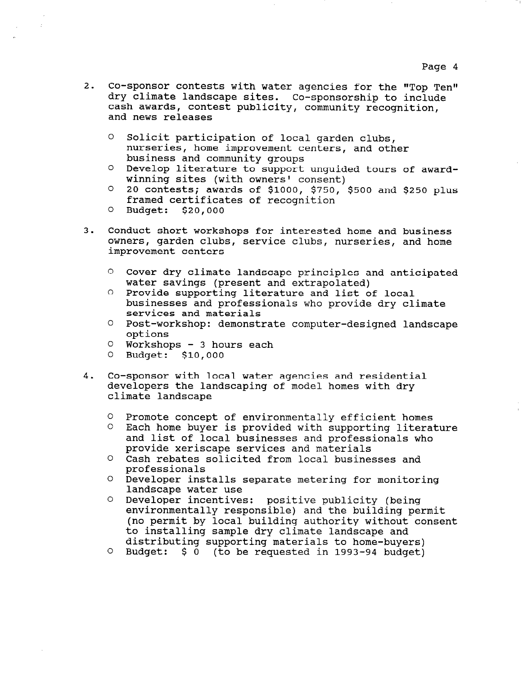- 2. Co-sponsor contests with water agencies for the "Top Ten" dry climate landscape sites. Co-sponsorship to include cash awards, contest publicity, community recognition, and news releases
	- <sup>O</sup> Solicit participation of local garden clubs, nurseries, home improvement centers, and other business and community groups
	- 0 Develop literature to support unguided tours of awardwinning sites (with owners' consent)
	- $0$  20 contests; awards of \$1000, \$750, \$500 and \$250 plus framed certificates of recognition
	- <sup>0</sup>Budget: \$20,000
- 3. Conduct short workshops for interested home and business owners, garden clubs, service clubs, nurseries, and home improvement centers
	- <sup>0</sup>Cover dry climate landscape principles and anticipated water savings (present and extrapolated)
	- 0 Provide supporting literature and list of local businesses and professionals who provide dry climate services and materials
	- 0 Post-workshop: demonstrate computer-designed landscape options
	- <sup>0</sup>Workshops 3 hours each
	- 0 Budget: \$10,000
- 4. Co-sponsor with local water agencies and residential developers the landscaping of model homes with dry climate landscape
	- O Promote concept of environmentally efficient homes
	- <sup>0</sup>Each home buyer is provided with supporting literature and list of local businesses and professionals who provide xeriscape services and materials
	- <sup>0</sup>Cash rebates solicited from local businesses and professionals
	- <sup>0</sup>Developer installs separate metering for monitoring landscape water use
	- O Developer incentives: positive publicity (being environmentally responsible) and the building permit (no permit by local building authority without consent to installing sample dry climate landscape and co installing sample ally climate lanuscape and<br>distributing supporting materials to home-buyer distributing supporting materials to home-buyers)<br>
	0 Budget: \$ 0 (to be requested in 1993-94 budget)
	-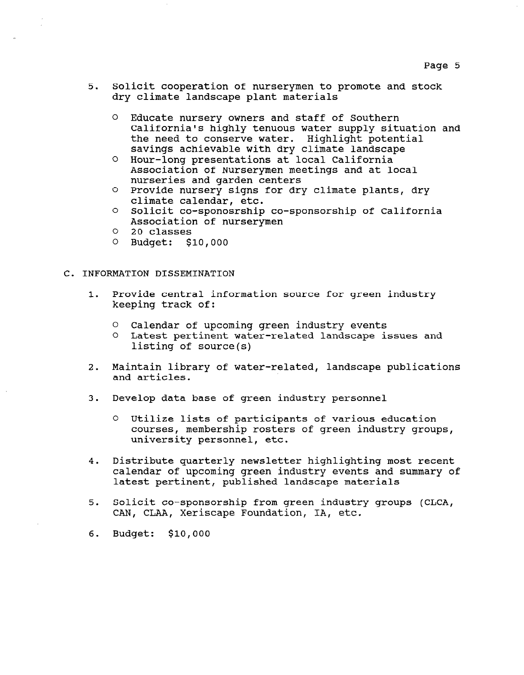- 5. Solicit cooperation of nurserymen to promote and stock dry climate landscape plant materials
	- <sup>0</sup>Educate nursery owners and staff of Southern California's highly tenuous water supply situation and the need to conserve water. Highlight potent savings achievable with dry climate landscape
	- <sup>0</sup>Hour-long presentations at local California Association of Nurserymen meetings and at local nurseries and garden centers
	- <sup>0</sup>Provide nursery signs for dry climate plants, dry climate calendar, etc.
	- <sup>0</sup>Solicit co-sponosrship co-sponsorship of California Association of nurserymen
	- <sup>0</sup>20 classes
	- <sup>0</sup>Budget: \$10,000

#### C. INFORMATION DISSEMINATION

- 1. Provide central information source for green industry keeping track of:
	- <sup>0</sup>Calendar of upcoming green industry events  $\circ$  calendar or upcoming green industry events
	- Latest pertinent water-related landscape issues and listing of source(s)
- 2. Maintain library of water-related, landscape publications maintain i
- 3. Develop data base of green industry personnel
	- <sup>0</sup>Utilize lists of participants of various education Utilize lists of participants of various education courses, membership rosters of green industry groups,<br>university personnel, etc.
- Distribute quarterly newsletter highlighting most recent Distribute quarterly newsletter highlighting most recent calendar of upcoming green industry events and summary of latest pertinent, published landscape materials
- Solicit co-sponsorship from green industry groups (CLCA, CAN, CLAA, Xeriscape Foundation, IA, etc. 5.
- Budget: \$10,000 6.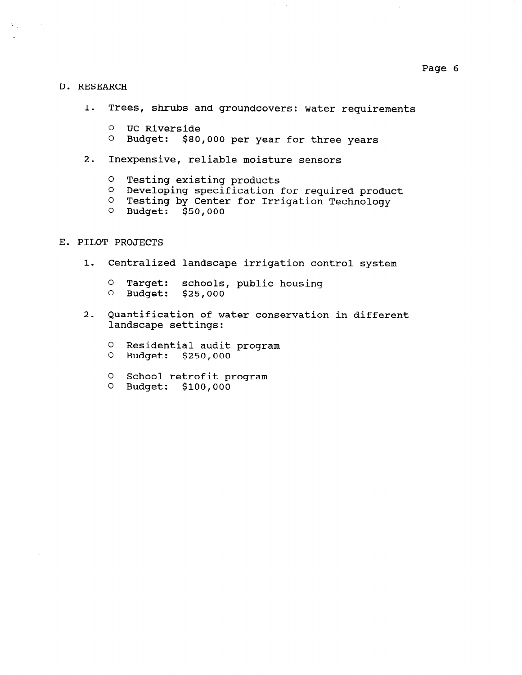### D. RESEARCH

 $\sim$   $\alpha$ 

 $\Delta \sim 10^5$ 

1. Trees, shrubs and groundcovers: water requirements

 $\mathcal{L}$  $\sim$ 

- <sup>0</sup>UC Riverside
- <sup>0</sup>Budget: \$80,000 per year for three years
- 2. Inexpensive, reliable moisture sensors
	- O Testing existing products
	- <sup>0</sup>Developing specification for required product
	- O Testing by Center for Irrigation Technology
	- $O$  Budget:  $$50,000$

#### E. PILOT PROJECTS

- 1. Centralized landscape irrigation control system
	- <sup>0</sup>Target: schools, public housing <sup>0</sup>Budget: \$25,000
- 2. Quantification of water conservation in different landscape settings:
	- <sup>0</sup>Residential audit program
	- <sup>0</sup>Budget: \$250,000
	- 0 School retrofit program
	- 0 Budget: \$100,000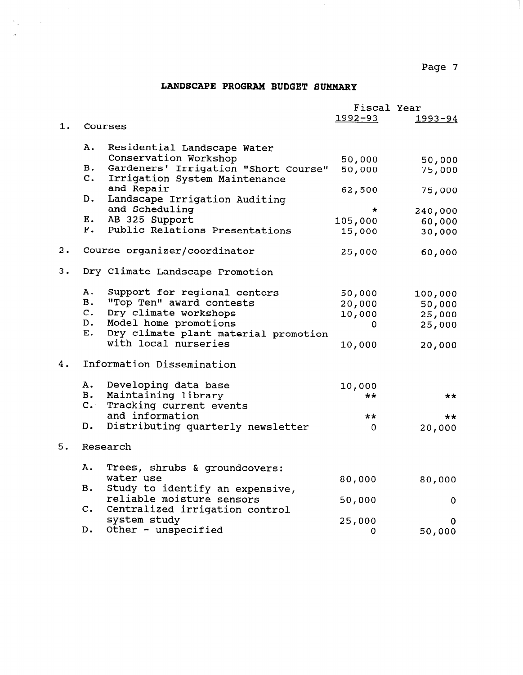Page 7

Ţ

## LANDSCAPE PROGRAM BUDGET SUMMARY

 $\label{eq:2} \frac{1}{\sqrt{2}}\int_{0}^{\infty}\frac{1}{\sqrt{2}}\left(\frac{1}{\sqrt{2}}\right)^{2}d\theta\,d\theta.$ 

 $\label{eq:1} A_{\rm{max}} = \frac{1}{2} \left( \frac{1}{2} \right)^{2} \left( \frac{1}{2} \right)^{2} \left( \frac{1}{2} \right)^{2}$ 

 $\sim$ 

|    |               |                                      | Fiscal Year     |               |
|----|---------------|--------------------------------------|-----------------|---------------|
|    |               |                                      | <u> 1992–93</u> | $1993 - 94$   |
| 1. |               | Courses                              |                 |               |
|    |               |                                      |                 |               |
|    | А.            | Residential Landscape Water          |                 |               |
|    |               | Conservation Workshop                | 50,000          | 50,000        |
|    | B.            | Gardeners' Irrigation "Short Course" | 50,000          | 75,000        |
|    | $c_{\bullet}$ | Irrigation System Maintenance        |                 |               |
|    |               | and Repair                           | 62,500          | 75,000        |
|    | D.            | Landscape Irrigation Auditing        |                 |               |
|    |               | and Scheduling                       | $\star$         | 240,000       |
|    | Ε.            | AB 325 Support                       | 105,000         | 60,000        |
|    | $F$ .         | Public Relations Presentations       | 15,000          | 30,000        |
| 2. |               | Course organizer/coordinator         | 25,000          | 60,000        |
|    |               |                                      |                 |               |
| 3. |               | Dry Climate Landscape Promotion      |                 |               |
|    |               |                                      |                 |               |
|    | А.            | Support for regional centers         | 50,000          | 100,000       |
|    | <b>B.</b>     | "Top Ten" award contests             | 20,000          | 50,000        |
|    | $c_{\star}$   | Dry climate workshops                | 10,000          | 25,000        |
|    | $D$ .         | Model home promotions                | 0               | 25,000        |
|    | E.            | Dry climate plant material promotion |                 |               |
|    |               | with local nurseries                 | 10,000          | 20,000        |
| 4. |               | Information Dissemination            |                 |               |
|    |               |                                      |                 |               |
|    | A.            | Developing data base                 | 10,000          |               |
|    | <b>B.</b>     | Maintaining library                  | **              | $\star \star$ |
|    | $C_{\bullet}$ | Tracking current events              |                 |               |
|    |               | and information                      | **              | **            |
|    | D.            | Distributing quarterly newsletter    | 0               | 20,000        |
| 5. |               | Research                             |                 |               |
|    |               |                                      |                 |               |
|    | А.            | Trees, shrubs & groundcovers:        |                 |               |
|    |               | water use                            | 80,000          | 80,000        |
|    | <b>B.</b>     | Study to identify an expensive,      |                 |               |
|    |               | reliable moisture sensors            | 50,000          | $\mathbf 0$   |
|    | $c_{\star}$   | Centralized irrigation control       |                 |               |
|    |               | system study                         | 25,000          | 0             |
|    | D.            | Other - unspecified                  | 0               | 50,000        |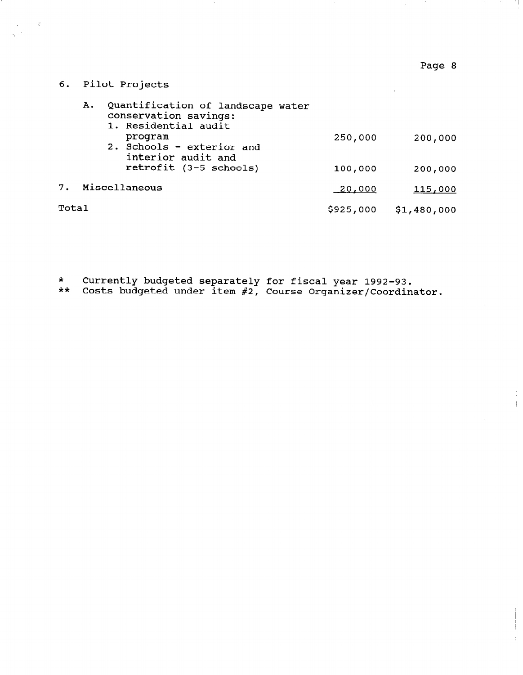|       |    |                                                                                    |               | raye o      |
|-------|----|------------------------------------------------------------------------------------|---------------|-------------|
| 6.    |    | Pilot Projects                                                                     |               |             |
|       | A. | Quantification of landscape water<br>conservation savings:<br>1. Residential audit |               |             |
|       |    | program<br>2. Schools - exterior and<br>interior audit and                         | 250,000       | 200,000     |
|       |    | retrofit (3-5 schools)                                                             | 100,000       | 200,000     |
| 7.    |    | Miscellaneous                                                                      | <u>20,000</u> | 115,000     |
| Total |    |                                                                                    | \$925,000     | \$1,480,000 |

 $\ddot{\zeta}$ 

\* Currently budgeted separately for fiscal year 1992-93.

\*\* Costs budgeted under item #2, Course Organizer/Coordinator.

 $\pm$